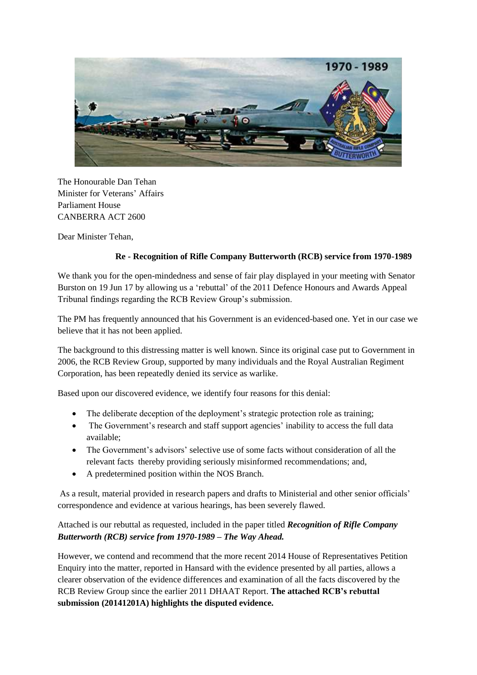

The Honourable Dan Tehan Minister for Veterans' Affairs Parliament House CANBERRA ACT 2600

Dear Minister Tehan,

## **Re - Recognition of Rifle Company Butterworth (RCB) service from 1970-1989**

We thank you for the open-mindedness and sense of fair play displayed in your meeting with Senator Burston on 19 Jun 17 by allowing us a 'rebuttal' of the 2011 Defence Honours and Awards Appeal Tribunal findings regarding the RCB Review Group's submission.

The PM has frequently announced that his Government is an evidenced-based one. Yet in our case we believe that it has not been applied.

The background to this distressing matter is well known. Since its original case put to Government in 2006, the RCB Review Group, supported by many individuals and the Royal Australian Regiment Corporation, has been repeatedly denied its service as warlike.

Based upon our discovered evidence, we identify four reasons for this denial:

- The deliberate deception of the deployment's strategic protection role as training;
- The Government's research and staff support agencies' inability to access the full data available;
- The Government's advisors' selective use of some facts without consideration of all the relevant facts thereby providing seriously misinformed recommendations; and,
- A predetermined position within the NOS Branch.

As a result, material provided in research papers and drafts to Ministerial and other senior officials' correspondence and evidence at various hearings, has been severely flawed.

Attached is our rebuttal as requested, included in the paper titled *Recognition of Rifle Company Butterworth (RCB) service from 1970-1989 – The Way Ahead.* 

However, we contend and recommend that the more recent 2014 House of Representatives Petition Enquiry into the matter, reported in Hansard with the evidence presented by all parties, allows a clearer observation of the evidence differences and examination of all the facts discovered by the RCB Review Group since the earlier 2011 DHAAT Report. **The attached RCB's rebuttal submission (20141201A) highlights the disputed evidence.**